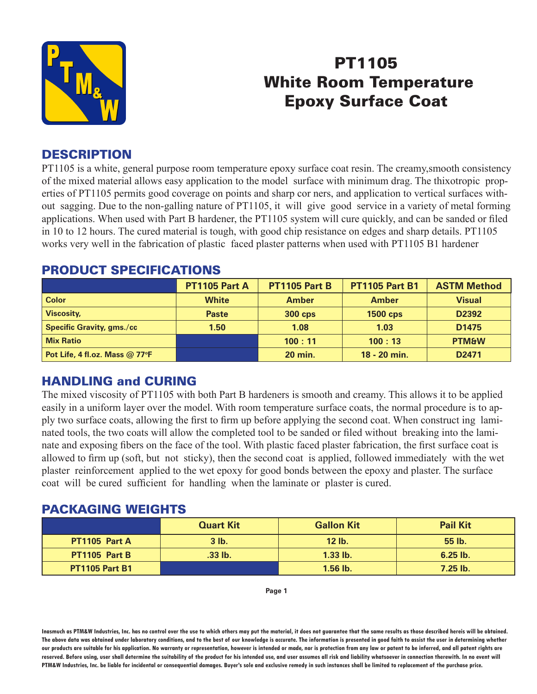

# PT1105 White Room Temperature Epoxy Surface Coat

### **DESCRIPTION**

PT1105 is a white, general purpose room temperature epoxy surface coat resin. The creamy,smooth consistency of the mixed material allows easy application to the model surface with minimum drag. The thixotropic properties of PT1105 permits good coverage on points and sharp cor ners, and application to vertical surfaces without sagging. Due to the non-galling nature of PT1105, it will give good service in a variety of metal forming applications. When used with Part B hardener, the PT1105 system will cure quickly, and can be sanded or filed in 10 to 12 hours. The cured material is tough, with good chip resistance on edges and sharp details. PT1105 works very well in the fabrication of plastic faced plaster patterns when used with PT1105 B1 hardener

|                                  | PT1105 Part A | <b>PT1105 Part B</b> | <b>PT1105 Part B1</b> | <b>ASTM Method</b> |
|----------------------------------|---------------|----------------------|-----------------------|--------------------|
| <b>Color</b>                     | <b>White</b>  | <b>Amber</b>         | <b>Amber</b>          | <b>Visual</b>      |
| Viscosity,                       | <b>Paste</b>  | <b>300 cps</b>       | <b>1500 cps</b>       | D2392              |
| <b>Specific Gravity, gms./cc</b> | 1.50          | 1.08                 | 1.03                  | D <sub>1475</sub>  |
| <b>Mix Ratio</b>                 |               | 100:11               | 100:13                | <b>PTM&amp;W</b>   |
| Pot Life, 4 fl.oz. Mass @ 77°F   |               | <b>20 min.</b>       | $18 - 20$ min.        | D <sub>2471</sub>  |

#### PRODUCT SPECIFICATIONS

### HANDLING and CURING

The mixed viscosity of PT1105 with both Part B hardeners is smooth and creamy. This allows it to be applied easily in a uniform layer over the model. With room temperature surface coats, the normal procedure is to apply two surface coats, allowing the first to firm up before applying the second coat. When construct ing laminated tools, the two coats will allow the completed tool to be sanded or filed without breaking into the laminate and exposing fibers on the face of the tool. With plastic faced plaster fabrication, the first surface coat is allowed to firm up (soft, but not sticky), then the second coat is applied, followed immediately with the wet plaster reinforcement applied to the wet epoxy for good bonds between the epoxy and plaster. The surface coat will be cured sufficient for handling when the laminate or plaster is cured.

#### PACKAGING WEIGHTS

|                       | <b>Quart Kit</b> | <b>Gallon Kit</b> | <b>Pail Kit</b> |
|-----------------------|------------------|-------------------|-----------------|
| <b>PT1105 Part A</b>  | $3$ lb.          | $12$ lb.          | 55 lb.          |
| PT1105 Part B         | $.33$ lb.        | $1.33$ lb.        | $6.25$ lb.      |
| <b>PT1105 Part B1</b> |                  | $1.56$ lb.        | $7.25$ lb.      |

**Page 1**

**Inasmuch as PTM&W Industries, Inc. has no control over the use to which others may put the material, it does not guarantee that the same results as those described hereis will be obtained. The above data was obtained under laboratory conditions, and to the best of our knowledge is accurate. The information is presented in good faith to assist the user in determining whether our products are suitable for his application. No warranty or representation, however is intended or made, nor is protection from any law or patent to be inferred, and all patent rights are**  reserved. Before using, user shall determine the suitability of the product for his intended use, and user assumes all risk and liability whatsoever in connection therewith. In no event will **PTM&W Industries, Inc. be liable for incidental or consequential damages. Buyer's sole and exclusive remedy in such instances shall be limited to replacement of the purchase price.**